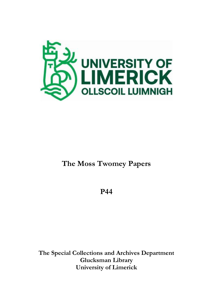

# **The Moss Twomey Papers**

**P44**

**The Special Collections and Archives Department Glucksman Library University of Limerick**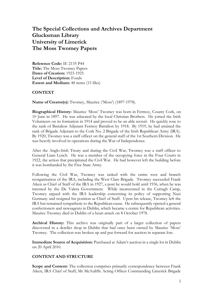# **The Special Collections and Archives Department Glucksman Library University of Limerick The Moss Twomey Papers**

**Reference Code:** IE 2135 P44 **Title:** The Moss Twomey Papers **Dates of Creation:** 1923-1925 **Level of Description:** Fonds **Extent and Medium:** 48 items (15 files)

#### **CONTEXT**

**Name of Creator(s):** Twomey, Maurice ('Moss') (1897-1978).

**Biographical History:** Maurice 'Moss' Twomey was born in Fermoy, County Cork, on 10 June in 1897. He was educated by the local Christian Brothers. He joined the Irish Volunteers on its formation in 1914 and proved to be an able recruit. He quickly rose to the rank of Battalion Adjutant Fermoy Battalion by 1918. By 1919, he had attained the rank of Brigade Adjutant to the Cork No. 2 Brigade of the Irish Republican Army (IRA). By 1920, Twomey was a staff officer on the general staff of the 1st Southern Division. He was heavily involved in operations during the War of Independence.

After the Anglo-Irish Treaty and during the Civil War, Twomey was a staff officer to General Liam Lynch. He was a member of the occupying force in the Four Courts in 1922, the action that precipitated the Civil War. He had however left the building before it was bombarded by the Free State Army.

Following the Civil War, Twomey was tasked with the entire root and branch reorganisation of the IRA, including the West Clare Brigade. Twomey succeeded Frank Aiken as Chief of Staff of the IRA in 1927, a post he would hold until 1936, when he was interned by the De Valera Government. While incarcerated in the Curragh Camp, Twomey argued with the IRA leadership concerning its policy of supporting Nazi Germany and resigned his position as Chief of Staff. Upon his release, Twomey left the IRA but remained sympathetic to the Republican cause. He subsequently opened a general confectioners and newsagents in Dublin, which became a centre for Republican activities. Maurice Twomey died in Dublin of a heart attack on 8 October 1978.

**Archival History:** This archive was originally part of a larger collection of papers discovered in a derelict shop in Dublin that had once been owned by Maurice 'Moss' Twomey. The collection was broken up and put forward for auction in separate lots.

**Immediate Source of Acquisition:** Purchased at Adam's auction in a single lot in Dublin on 20 April 2010.

## **CONTENT AND STRUCTURE**

**Scope and Content:** The collection comprises primarily correspondence between Frank Aiken, IRA Chief of Staff; Mr McAuliffe Acting Officer Commanding Limerick Brigade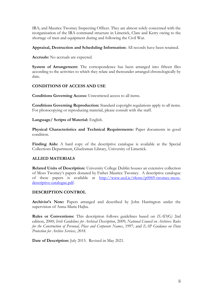IRA; and Maurice Twomey Inspecting Officer. They are almost solely concerned with the reorganisation of the IRA command structure in Limerick, Clare and Kerry owing to the shortage of men and equipment during and following the Civil War.

**Appraisal, Destruction and Scheduling Information:** All records have been retained.

**Accruals:** No accruals are expected.

**System of Arrangement:** The correspondence has been arranged into fifteen files according to the activities to which they relate and thereunder arranged chronologically by date.

# **CONDITIONS OF ACCESS AND USE**

**Conditions Governing Access:** Unrestricted access to all items.

**Conditions Governing Reproduction:** Standard copyright regulations apply to all items. For photocopying or reproducing material, please consult with the staff.

**Language/ Scripts of Material:** English.

**Physical Characteristics and Technical Requirements:** Paper documents in good condition.

Finding Aids: A hard copy of the descriptive catalogue is available at the Special Collections Department, Glucksman Library, University of Limerick.

# **ALLIED MATERIALS**

**Related Units of Description:** University College Dublin houses an extensive collection of Moss Twomey's papers donated by Father Maurice Twomey. A descriptive catalogue of these papers is available at [http://www.ucd.ie/t4cms/p0069-twomey-moss](http://www.ucd.ie/t4cms/p0069-twomey-moss-descriptive-catalogue.pdf)[descriptive-catalogue.pdf.](http://www.ucd.ie/t4cms/p0069-twomey-moss-descriptive-catalogue.pdf)

# **DESCRIPTION CONTROL**

**Archivist's Note:** Papers arranged and described by John Harrington under the supervision of Anna-Maria Hajba.

**Rules or Conventions:** This description follows guidelines based on *ISAD(G)* 2nd edition, 2000; *Irish Guidelines for Archival Description*, 2009; *National Council on Archives: Rules for the Construction of Personal, Place and Corporate Names*, 1997; and *EAP Guidance on Data Protection for Archive Services, 2018*.

**Date of Description:** July 2015. Revised in May 2021.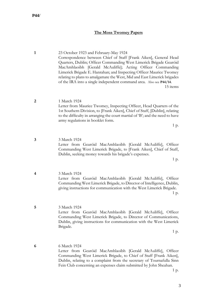**P44/**

## **The Moss Twomey Papers**

**1** 23 October 1923 and February-May 1924 Correspondence between Chief of Staff [Frank Aiken], General Head Quarters, Dublin; Officer Commanding West Limerick Brigade Gearóid MacAmhlaoibh [Gerald McAuliffe]; Acting Officer Commanding Limerick Brigade E. Hanrahan; and Inspecting Officer Maurice Twomey relating to plans to amalgamate the West, Mid and East Limerick brigades of the IRA into a single independent command area. Also see **P44/14**. 15 items

**2** 1 March 1924 Letter from Maurice Twomey, Inspecting Officer, Head Quarters of the 1st Southern Division, to [Frank Aiken], Chief of Staff, [Dublin], relating to the difficulty in arranging the court martial of 'B'; and the need to have army regulations in booklet form.

1 p.

**3** 3 March 1924 Letter from Gearóid MacAmhlaoibh [Gerald McAuliffe], Officer Commanding West Limerick Brigade, to [Frank Aiken], Chief of Staff, Dublin, seeking money towards his brigade's expenses.

1 p.

- **4** 3 March 1924 Letter from Gearóid MacAmhlaoibh [Gerald McAuliffe], Officer Commanding West Limerick Brigade, to Director of Intelligence, Dublin, giving instructions for communication with the West Limerick Brigade. 1 p.
- **5** 3 March 1924 Letter from Gearóid MacAmhlaoibh [Gerald McAuliffe], Officer Commanding West Limerick Brigade, to Director of Communications, Dublin, giving instructions for communication with the West Limerick Brigade.

1 p.

**6** 6 March 1924 Letter from Gearóid MacAmhlaoibh [Gerald McAuliffe], Officer Commanding West Limerick Brigade, to Chief of Staff [Frank Aiken], Dublin, relating to a complaint from the secretary of Tournafulla Sinn Fein Club concerning an expenses claim submitted by John Sheahan.

1 p.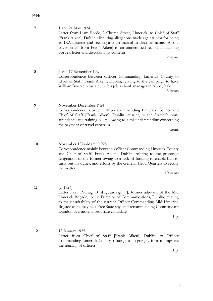## **P44/**

| 7  | 1 and 21 May 1924<br>Letter from Liam Forde, 2 Church Street, Limerick, to Chief of Staff<br>[Frank Aiken], Dublin, disputing allegations made against him for being<br>an IRA deserter and seeking a court martial to clear his name. Also a<br>cover letter [from Frank Aiken] to an unidentified recipient attaching<br>Forde's letter and discussing its contents.<br>2 items |
|----|-----------------------------------------------------------------------------------------------------------------------------------------------------------------------------------------------------------------------------------------------------------------------------------------------------------------------------------------------------------------------------------|
| 8  | 5 and 17 September 1924<br>Correspondence between Officer Commanding Limerick County to<br>Chief of Staff [Frank Aiken], Dublin, relating to the campaign to have<br>William Bourke reinstated to his job as bank manager in Abbeyfeale.<br>3 items                                                                                                                               |
| 9  | November-December 1924<br>Correspondence between Officer Commanding Limerick County and<br>Chief of Staff [Frank Aiken], Dublin, relating to the former's non-<br>attendance at a training course owing to a misunderstanding concerning<br>the payment of travel expenses.<br>4 items                                                                                            |
| 10 | November 1924-March 1925<br>Correspondence mainly between Officer Commanding Limerick County<br>and Chief of Staff [Frank Aiken], Dublin, relating to the proposed<br>resignation of the former owing to a lack of funding to enable him to<br>carry out his duties, and efforts by the General Head Quarters to rectify<br>the matter.<br>10 items                               |
| 11 | [c. $1924$ ]<br>Letter from Padraig Ó hÉigceartaigh [?], former adjutant of the Mid<br>Limerick Brigade, to the Director of Communications, Dublin, relating<br>to the unsuitability of the current Officer Commanding Mid Limerick<br>Brigade as he may be a Free State spy, and recommending Commandant<br>Dundon as a more appropriate candidate.<br>1 p.                      |

**12** 12 January 1925 Letter from Chief of Staff [Frank Aiken], Dublin, to Officer Commanding Limerick County, relating to on-going efforts to improve the training of officers.

1 p.